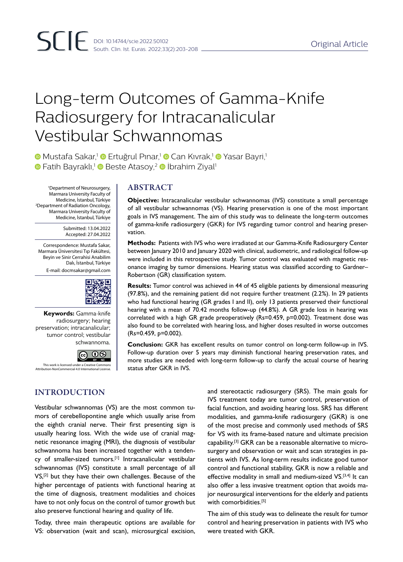# Long-term Outcomes of Gamma-Knife Radiosurgery for Intracanalicular Vestibular Schwannomas

**D** Mustafa Sakar,<sup>1</sup> D Ertuğrul Pinar,<sup>1</sup> D Can Kıvrak,<sup>1</sup> D Yasar Bayri,<sup>1</sup>  $\bullet$  Fatih Bayraklı,<sup>1</sup>  $\bullet$  Beste Atasoy,<sup>2</sup>  $\bullet$  İbrahim Ziyal<sup>1</sup>

'Department of Neurosurgery, | ABSTRACT Marmara University Faculty of Medicine, İstanbul, Türkiye 2 Department of Radiation Oncology, Marmara University Faculty of Medicine, İstanbul, Türkiye

> Submitted: 13.04.2022 Accepted: 27.04.2022

Correspondence: Mustafa Sakar, Marmara Üniversitesi Tıp Fakültesi, Beyin ve Sinir Cerrahisi Anabilim Dalı, İstanbul, Türkiye E-mail: docmsakar@gmail.com



**Keywords:** Gamma-knife radiosurgery; hearing preservation; intracanalicular; tumor control; vestibular schwannoma.



This work is licensed under a Creative Commons Attribution-NonCommercial 4.0 International License.

# INTRODUCTION

Vestibular schwannomas (VS) are the most common tumors of cerebellopontine angle which usually arise from the eighth cranial nerve. Their first presenting sign is usually hearing loss. With the wide use of cranial magnetic resonance imaging (MRI), the diagnosis of vestibular schwannoma has been increased together with a tendency of smaller-sized tumors.[1] Intracanalicular vestibular schwannomas (IVS) constitute a small percentage of all VS,<sup>[2]</sup> but they have their own challenges. Because of the higher percentage of patients with functional hearing at the time of diagnosis, treatment modalities and choices have to not only focus on the control of tumor growth but also preserve functional hearing and quality of life.

Today, three main therapeutic options are available for VS: observation (wait and scan), microsurgical excision, and stereotactic radiosurgery (SRS). The main goals for IVS treatment today are tumor control, preservation of facial function, and avoiding hearing loss. SRS has different modalities, and gamma-knife radiosurgery (GKR) is one of the most precise and commonly used methods of SRS for VS with its frame-based nature and ultimate precision capability.[3] GKR can be a reasonable alternative to microsurgery and observation or wait and scan strategies in patients with IVS. As long-term results indicate good tumor control and functional stability, GKR is now a reliable and effective modality in small and medium-sized VS.<sup>[3,4]</sup> It can also offer a less invasive treatment option that avoids major neurosurgical interventions for the elderly and patients with comorbidities.<sup>[5]</sup>

The aim of this study was to delineate the result for tumor control and hearing preservation in patients with IVS who were treated with GKR.

**Objective:** Intracanalicular vestibular schwannomas (IVS) constitute a small percentage of all vestibular schwannomas (VS). Hearing preservation is one of the most important goals in IVS management. The aim of this study was to delineate the long-term outcomes of gamma-knife radiosurgery (GKR) for IVS regarding tumor control and hearing preservation.

**Methods:** Patients with IVS who were irradiated at our Gamma-Knife Radiosurgery Center between January 2010 and January 2020 with clinical, audiometric, and radiological follow-up were included in this retrospective study. Tumor control was evaluated with magnetic resonance imaging by tumor dimensions. Hearing status was classified according to Gardner– Robertson (GR) classification system.

**Results:** Tumor control was achieved in 44 of 45 eligible patients by dimensional measuring (97.8%), and the remaining patient did not require further treatment (2.2%). In 29 patients who had functional hearing (GR grades I and II), only 13 patients preserved their functional hearing with a mean of 70.42 months follow-up (44.8%). A GR grade loss in hearing was correlated with a high GR grade preoperatively (Rs=0.459, p=0.002). Treatment dose was also found to be correlated with hearing loss, and higher doses resulted in worse outcomes (Rs=0.459, p=0.002).

**Conclusion:** GKR has excellent results on tumor control on long-term follow-up in IVS. Follow-up duration over 5 years may diminish functional hearing preservation rates, and more studies are needed with long-term follow-up to clarify the actual course of hearing status after GKR in IVS.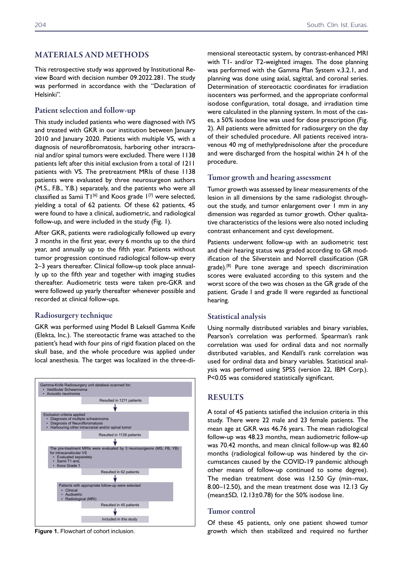# MATERIALS AND METHODS

This retrospective study was approved by Institutional Review Board with decision number 09.2022.281. The study was performed in accordance with the "Declaration of Helsinki".

# Patient selection and follow-up

This study included patients who were diagnosed with IVS and treated with GKR in our institution between January 2010 and January 2020. Patients with multiple VS, with a diagnosis of neurofibromatosis, harboring other intracranial and/or spinal tumors were excluded. There were 1138 patients left after this initial exclusion from a total of 1211 patients with VS. The pretreatment MRIs of these 1138 patients were evaluated by three neurosurgeon authors (M.S., F.B., Y.B.) separately, and the patients who were all classified as Samii T1 $[6]$  and Koos grade 1 $[7]$  were selected, yielding a total of 62 patients. Of these 62 patients, 45 were found to have a clinical, audiometric, and radiological follow-up, and were included in the study (Fig. 1).

After GKR, patients were radiologically followed up every 3 months in the first year, every 6 months up to the third year, and annually up to the fifth year. Patients without tumor progression continued radiological follow-up every 2–3 years thereafter. Clinical follow-up took place annually up to the fifth year and together with imaging studies thereafter. Audiometric tests were taken pre-GKR and were followed up yearly thereafter whenever possible and recorded at clinical follow-ups.

# Radiosurgery technique

GKR was performed using Model B Leksell Gamma Knife (Elekta, Inc.). The stereotactic frame was attached to the patient's head with four pins of rigid fixation placed on the skull base, and the whole procedure was applied under local anesthesia. The target was localized in the three-di-



**Figure 1.** Flowchart of cohort inclusion.

mensional stereotactic system, by contrast-enhanced MRI with T1- and/or T2-weighted images. The dose planning was performed with the Gamma Plan System v.3.2.1, and planning was done using axial, sagittal, and coronal series. Determination of stereotactic coordinates for irradiation isocenters was performed, and the appropriate conformal isodose configuration, total dosage, and irradiation time were calculated in the planning system. In most of the cases, a 50% isodose line was used for dose prescription (Fig. 2). All patients were admitted for radiosurgery on the day of their scheduled procedure. All patients received intravenous 40 mg of methylprednisolone after the procedure and were discharged from the hospital within 24 h of the procedure.

# Tumor growth and hearing assessment

Tumor growth was assessed by linear measurements of the lesion in all dimensions by the same radiologist throughout the study, and tumor enlargement over 1 mm in any dimension was regarded as tumor growth. Other qualitative characteristics of the lesions were also noted including contrast enhancement and cyst development.

Patients underwent follow-up with an audiometric test and their hearing status was graded according to GR modification of the Silverstein and Norrell classification (GR grade).<sup>[8]</sup> Pure tone average and speech discrimination scores were evaluated according to this system and the worst score of the two was chosen as the GR grade of the patient. Grade I and grade II were regarded as functional hearing.

# Statistical analysis

Using normally distributed variables and binary variables, Pearson's correlation was performed. Spearman's rank correlation was used for ordinal data and not normally distributed variables, and Kendall's rank correlation was used for ordinal data and binary variables. Statistical analysis was performed using SPSS (version 22, IBM Corp.). P<0.05 was considered statistically significant.

# RESULTS

A total of 45 patients satisfied the inclusion criteria in this study. There were 22 male and 23 female patients. The mean age at GKR was 46.76 years. The mean radiological follow-up was 48.23 months, mean audiometric follow-up was 70.42 months, and mean clinical follow-up was 82.60 months (radiological follow-up was hindered by the circumstances caused by the COVID-19 pandemic although other means of follow-up continued to some degree). The median treatment dose was 12.50 Gy (min–max, 8.00–12.50), and the mean treatment dose was 12.13 Gy (mean±SD, 12.13±0.78) for the 50% isodose line.

# Tumor control

Of these 45 patients, only one patient showed tumor growth which then stabilized and required no further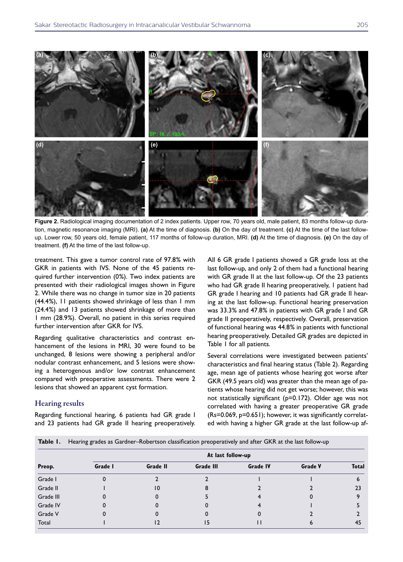

**Figure 2.** Radiological imaging documentation of 2 index patients. Upper row, 70 years old, male patient, 83 months follow-up duration, magnetic resonance imaging (MRI). **(a)** At the time of diagnosis. **(b)** On the day of treatment. **(c)** At the time of the last followup. Lower row, 50 years old, female patient, 117 months of follow-up duration, MRI. **(d)** At the time of diagnosis. **(e)** On the day of treatment. **(f)** At the time of the last follow-up.

treatment. This gave a tumor control rate of 97.8% with GKR in patients with IVS. None of the 45 patients required further intervention (0%). Two index patients are presented with their radiological images shown in Figure 2. While there was no change in tumor size in 20 patients (44.4%), 11 patients showed shrinkage of less than 1 mm (24.4%) and 13 patients showed shrinkage of more than 1 mm (28.9%). Overall, no patient in this series required further intervention after GKR for IVS.

Regarding qualitative characteristics and contrast enhancement of the lesions in MRI, 30 were found to be unchanged, 8 lesions were showing a peripheral and/or nodular contrast enhancement, and 5 lesions were showing a heterogenous and/or low contrast enhancement compared with preoperative assessments. There were 2 lesions that showed an apparent cyst formation.

# Hearing results

Regarding functional hearing, 6 patients had GR grade I and 23 patients had GR grade II hearing preoperatively. All 6 GR grade I patients showed a GR grade loss at the last follow-up, and only 2 of them had a functional hearing with GR grade II at the last follow-up. Of the 23 patients who had GR grade II hearing preoperatively, 1 patient had GR grade I hearing and 10 patients had GR grade II hearing at the last follow-up. Functional hearing preservation was 33.3% and 47.8% in patients with GR grade I and GR grade II preoperatively, respectively. Overall, preservation of functional hearing was 44.8% in patients with functional hearing preoperatively. Detailed GR grades are depicted in Table 1 for all patients.

Several correlations were investigated between patients' characteristics and final hearing status (Table 2). Regarding age, mean age of patients whose hearing got worse after GKR (49.5 years old) was greater than the mean age of patients whose hearing did not get worse; however, this was not statistically significant (p=0.172). Older age was not correlated with having a greater preoperative GR grade (Rs=0.069, p=0.651); however, it was significantly correlated with having a higher GR grade at the last follow-up af-

|  |  | Table 1. Hearing grades as Gardner-Robertson classification preoperatively and after GKR at the last follow-up |  |  |  |  |  |
|--|--|----------------------------------------------------------------------------------------------------------------|--|--|--|--|--|
|--|--|----------------------------------------------------------------------------------------------------------------|--|--|--|--|--|

|           | At last follow-up |          |                  |                 |                |              |  |  |  |
|-----------|-------------------|----------|------------------|-----------------|----------------|--------------|--|--|--|
| Preop.    | Grade I           | Grade II | <b>Grade III</b> | <b>Grade IV</b> | <b>Grade V</b> | <b>Total</b> |  |  |  |
| Grade I   |                   |          |                  |                 |                | n            |  |  |  |
| Grade II  |                   | 10       |                  |                 |                | 23           |  |  |  |
| Grade III |                   |          |                  |                 |                |              |  |  |  |
| Grade IV  |                   |          |                  |                 |                |              |  |  |  |
| Grade V   |                   |          |                  |                 |                |              |  |  |  |
| Total     |                   |          | כ ו              |                 |                | 45           |  |  |  |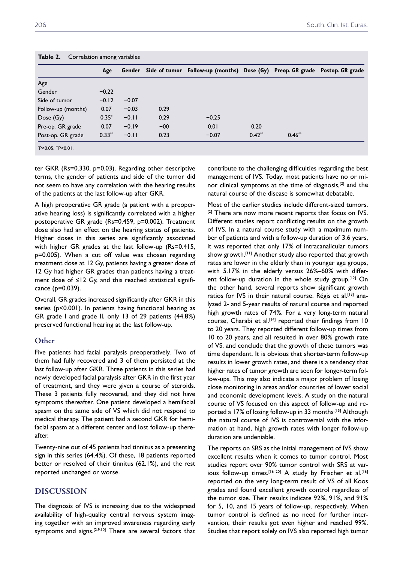|                    | Age      |         |       | Gender Side of tumor Follow-up (months) Dose (Gy) Preop. GR grade Postop. GR grade |          |          |  |
|--------------------|----------|---------|-------|------------------------------------------------------------------------------------|----------|----------|--|
| Age                |          |         |       |                                                                                    |          |          |  |
| Gender             | $-0.22$  |         |       |                                                                                    |          |          |  |
| Side of tumor      | $-0.12$  | $-0.07$ |       |                                                                                    |          |          |  |
| Follow-up (months) | 0.07     | $-0.03$ | 0.29  |                                                                                    |          |          |  |
| Dose(Gy)           | $0.35*$  | $-0.11$ | 0.29  | $-0.25$                                                                            |          |          |  |
| Pre-op. GR grade   | 0.07     | $-0.19$ | $-00$ | 0.01                                                                               | 0.20     |          |  |
| Post-op. GR grade  | $0.33**$ | $-0.11$ | 0.23  | $-0.07$                                                                            | $0.42**$ | $0.46**$ |  |
| *P<0.05. **P<0.01. |          |         |       |                                                                                    |          |          |  |

**Table 2.** Correlation among variables

ter GKR (Rs=0.330, p=0.03). Regarding other descriptive terms, the gender of patients and side of the tumor did not seem to have any correlation with the hearing results of the patients at the last follow-up after GKR.

A high preoperative GR grade (a patient with a preoperative hearing loss) is significantly correlated with a higher postoperative GR grade (Rs=0.459, p=0.002). Treatment dose also had an effect on the hearing status of patients. Higher doses in this series are significantly associated with higher GR grades at the last follow-up (Rs=0.415, p=0.005). When a cut off value was chosen regarding treatment dose at 12 Gy, patients having a greater dose of 12 Gy had higher GR grades than patients having a treatment dose of ≤12 Gy, and this reached statistical significance (p=0.039).

Overall, GR grades increased significantly after GKR in this series (p<0.001). In patients having functional hearing as GR grade I and grade II, only 13 of 29 patients (44.8%) preserved functional hearing at the last follow-up.

# **Other**

Five patients had facial paralysis preoperatively. Two of them had fully recovered and 3 of them persisted at the last follow-up after GKR. Three patients in this series had newly developed facial paralysis after GKR in the first year of treatment, and they were given a course of steroids. These 3 patients fully recovered, and they did not have symptoms thereafter. One patient developed a hemifacial spasm on the same side of VS which did not respond to medical therapy. The patient had a second GKR for hemifacial spasm at a different center and lost follow-up thereafter.

Twenty-nine out of 45 patients had tinnitus as a presenting sign in this series (64.4%). Of these, 18 patients reported better or resolved of their tinnitus (62.1%), and the rest reported unchanged or worse.

# DISCUSSION

The diagnosis of IVS is increasing due to the widespread availability of high-quality central nervous system imaging together with an improved awareness regarding early symptoms and signs.<sup>[2,9,10]</sup> There are several factors that contribute to the challenging difficulties regarding the best management of IVS. Today, most patients have no or minor clinical symptoms at the time of diagnosis,[2] and the natural course of the disease is somewhat debatable.

Most of the earlier studies include different-sized tumors. <sup>[2]</sup> There are now more recent reports that focus on IVS. Different studies report conflicting results on the growth of IVS. In a natural course study with a maximum number of patients and with a follow-up duration of 3.6 years, it was reported that only 17% of intracanalicular tumors show growth.[11] Another study also reported that growth rates are lower in the elderly than in younger age groups, with 5.17% in the elderly versus 26%–60% with different follow-up duration in the whole study group.<sup>[12]</sup> On the other hand, several reports show significant growth ratios for IVS in their natural course. Régis et al.<sup>[13]</sup> analyzed 2- and 5-year results of natural course and reported high growth rates of 74%. For a very long-term natural course, Charabi et al.<sup>[14]</sup> reported their findings from 10 to 20 years. They reported different follow-up times from 10 to 20 years, and all resulted in over 80% growth rate of VS, and conclude that the growth of these tumors was time dependent. It is obvious that shorter-term follow-up results in lower growth rates, and there is a tendency that higher rates of tumor growth are seen for longer-term follow-ups. This may also indicate a major problem of losing close monitoring in areas and/or countries of lower social and economic development levels. A study on the natural course of VS focused on this aspect of follow-up and reported a 17% of losing follow-up in 33 months<sup>[15]</sup> Although the natural course of IVS is controversial with the information at hand, high growth rates with longer follow-up duration are undeniable.

The reports on SRS as the initial management of IVS show excellent results when it comes to tumor control. Most studies report over 90% tumor control with SRS at various follow-up times.<sup>[16-20]</sup> A study by Frischer et al.<sup>[16]</sup> reported on the very long-term result of VS of all Koos grades and found excellent growth control regardless of the tumor size. Their results indicate 92%, 91%, and 91% for 5, 10, and 15 years of follow-up, respectively. When tumor control is defined as no need for further intervention, their results got even higher and reached 99%. Studies that report solely on IVS also reported high tumor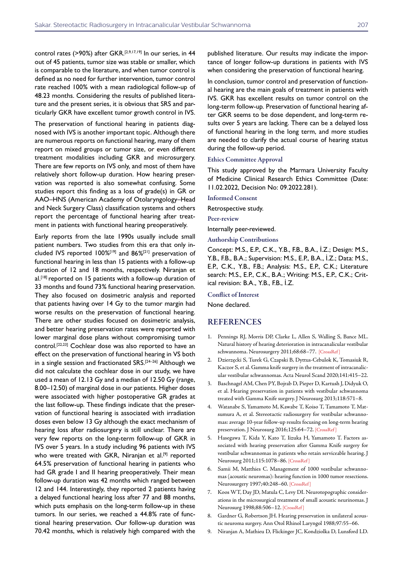control rates (>90%) after GKR.<sup>[2,9,17,19]</sup> In our series, in 44 out of 45 patients, tumor size was stable or smaller, which is comparable to the literature, and when tumor control is defined as no need for further intervention, tumor control rate reached 100% with a mean radiological follow-up of 48.23 months. Considering the results of published literature and the present series, it is obvious that SRS and particularly GKR have excellent tumor growth control in IVS.

The preservation of functional hearing in patients diagnosed with IVS is another important topic. Although there are numerous reports on functional hearing, many of them report on mixed groups or tumor size, or even different treatment modalities including GKR and microsurgery. There are few reports on IVS only, and most of them have relatively short follow-up duration. How hearing preservation was reported is also somewhat confusing. Some studies report this finding as a loss of grade(s) in GR or AAO–HNS (American Academy of Otolaryngology–Head and Neck Surgery Class) classification systems and others report the percentage of functional hearing after treatment in patients with functional hearing preoperatively.

Early reports from the late 1990s usually include small patient numbers. Two studies from this era that only included IVS reported 100%[19] and 86%[21] preservation of functional hearing in less than 15 patients with a follow-up duration of 12 and 18 months, respectively. Niranjan et al.<sup>[18]</sup> reported on 15 patients with a follow-up duration of 33 months and found 73% functional hearing preservation. They also focused on dosimetric analysis and reported that patients having over 14 Gy to the tumor margin had worse results on the preservation of functional hearing. There are other studies focused on dosimetric analysis, and better hearing preservation rates were reported with lower marginal dose plans without compromising tumor control.[22,23] Cochlear dose was also reported to have an effect on the preservation of functional hearing in VS both in a single session and fractionated SRS.<sup>[24-26]</sup> Although we did not calculate the cochlear dose in our study, we have used a mean of 12.13 Gy and a median of 12.50 Gy (range, 8.00–12.50) of marginal dose in our patients. Higher doses were associated with higher postoperative GR grades at the last follow-up. These findings indicate that the preservation of functional hearing is associated with irradiation doses even below 13 Gy although the exact mechanism of hearing loss after radiosurgery is still unclear. There are very few reports on the long-term follow-up of GKR in IVS over 5 years. In a study including 96 patients with IVS who were treated with GKR, Niranjan et al.<sup>[9]</sup> reported 64.5% preservation of functional hearing in patients who had GR grade I and II hearing preoperatively. Their mean follow-up duration was 42 months which ranged between 12 and 144. Interestingly, they reported 2 patients having a delayed functional hearing loss after 77 and 88 months, which puts emphasis on the long-term follow-up in these tumors. In our series, we reached a 44.8% rate of functional hearing preservation. Our follow-up duration was 70.42 months, which is relatively high compared with the

published literature. Our results may indicate the importance of longer follow-up durations in patients with IVS when considering the preservation of functional hearing.

In conclusion, tumor control and preservation of functional hearing are the main goals of treatment in patients with IVS. GKR has excellent results on tumor control on the long-term follow-up. Preservation of functional hearing after GKR seems to be dose dependent, and long-term results over 5 years are lacking. There can be a delayed loss of functional hearing in the long term, and more studies are needed to clarify the actual course of hearing status during the follow-up period.

#### Ethics Committee Approval

This study approved by the Marmara University Faculty of Medicine Clinical Research Ethics Committee (Date: 11.02.2022, Decision No: 09.2022.281).

Informed Consent

Retrospective study.

Peer-review

Internally peer-reviewed.

Authorship Contributions

Concept: M.S., E.P., C.K., Y.B., F.B., B.A., İ.Z.; Design: M.S., Y.B., F.B., B.A.; Supervision: M.S., E.P., B.A., İ.Z.; Data: M.S., E.P., C.K., Y.B., F.B.; Analysis: M.S., E.P., C.K.; Literature search: M.S., E.P., C.K., B.A.; Writing: M.S., E.P., C.K.; Critical revision: B.A., Y.B., F.B., İ.Z.

Conflict of Interest

None declared.

#### REFERENCES

- 1. Pennings RJ, Morris DP, Clarke L, Allen S, Walling S, Bance ML. Natural history of hearing deterioration in intracanalicular vestibular schwannoma. Neurosurgery 2011;68:68-77. [CrossRef]
- 2. Dzierzęcki S, Turek G, Czapski B, Dyttus-Cebulok K, Tomasiuk R, Kaczor S, et al. Gamma knife surgery in the treatment of intracanalicular vestibular schwannomas. Acta Neurol Scand 2020;141:415–22.
- 3. Baschnagel AM, Chen PY, Bojrab D, Pieper D, Kartush J, Didyuk O, et al. Hearing preservation in patients with vestibular schwannoma treated with Gamma Knife surgery. J Neurosurg 2013;118:571–8.
- 4. Watanabe S, Yamamoto M, Kawabe T, Koiso T, Tamamoto T, Matsumura A, et al. Stereotactic radiosurgery for vestibular schwannomas: average 10-year follow-up results focusing on long-term hearing preservation. J Neurosurg 2016;125:64-72. [CrossRef]
- 5. Hasegawa T, Kida Y, Kato T, Iizuka H, Yamamoto T. Factors associated with hearing preservation after Gamma Knife surgery for vestibular schwannomas in patients who retain serviceable hearing. J Neurosurg 2011;115:1078–[86. \[CrossRef \]](https://doi.org/10.3171/2011.7.JNS11749)
- 6. Samii M, Matthies C. Management of 1000 vestibular schwannomas (acoustic neuromas): hearing function in 1000 tumor resections. Neurosurgery 1997;40:248–60. [\[CrossRef \]](https://doi.org/10.1097/00006123-199702000-00005)
- 7. Koos WT, Day JD, Matula C, Levy DI. Neurotopographic considerations in the microsurgical treatment of small acoustic neurinomas. J Neurosurg 1998;88:506–12. [\[CrossRef \]](https://doi.org/10.3171/jns.1998.88.3.0506)
- 8. Gardner G, Robertson JH. Hearing preservation in unilateral acoustic neuroma surgery. Ann Otol Rhinol Laryngol 1988;97:55–66.
- 9. Niranjan A, Mathieu D, Flickinger JC, Kondziolka D, Lunsford LD.